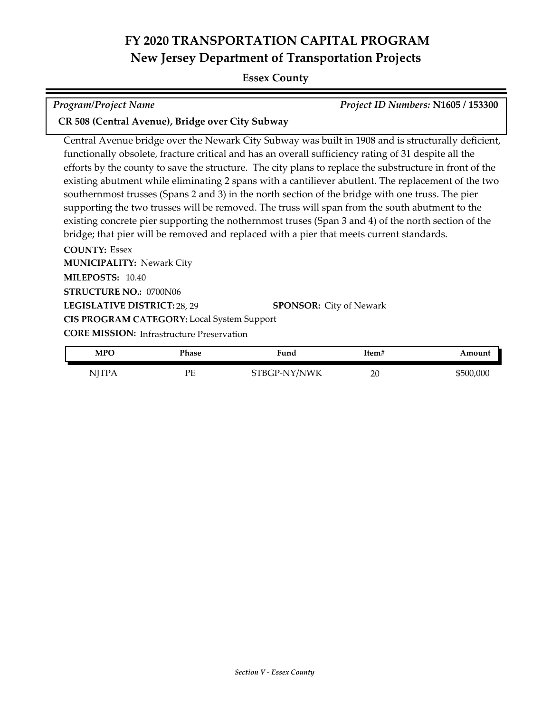#### **Essex County**

| <b>Program/Project Name</b> | <b>Project ID Nun</b> |
|-----------------------------|-----------------------|

*Program/Project Name Project ID Numbers:* **N1605 / 153300**

## **CR 508 (Central Avenue), Bridge over City Subway**

Central Avenue bridge over the Newark City Subway was built in 1908 and is structurally deficient, functionally obsolete, fracture critical and has an overall sufficiency rating of 31 despite all the efforts by the county to save the structure. The city plans to replace the substructure in front of the existing abutment while eliminating 2 spans with a cantiliever abutlent. The replacement of the two southernmost trusses (Spans 2 and 3) in the north section of the bridge with one truss. The pier supporting the two trusses will be removed. The truss will span from the south abutment to the existing concrete pier supporting the nothernmost truses (Span 3 and 4) of the north section of the bridge; that pier will be removed and replaced with a pier that meets current standards.

**COUNTY:** Essex **LEGISLATIVE DISTRICT:** 28, 29 **MILEPOSTS:** 10.40 **STRUCTURE NO.:** 0700N06 **MUNICIPALITY: Newark City CORE MISSION:** Infrastructure Preservation **SPONSOR:** City of Newark **CIS PROGRAM CATEGORY:** Local System Support

| <b>MPO</b> | Phase   | Fund         | Item# | Amount    |
|------------|---------|--------------|-------|-----------|
| NITP A     | DЕ<br>- | STBGP-NY/NWK | 20    | \$500,000 |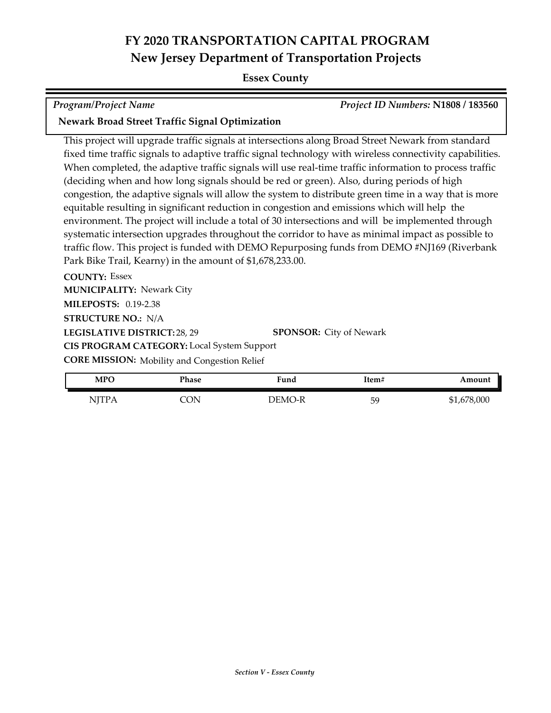## **Essex County**

*Program/Project Name Project ID Numbers:* **N1808 / 183560**

## **Newark Broad Street Traffic Signal Optimization**

This project will upgrade traffic signals at intersections along Broad Street Newark from standard fixed time traffic signals to adaptive traffic signal technology with wireless connectivity capabilities. When completed, the adaptive traffic signals will use real-time traffic information to process traffic (deciding when and how long signals should be red or green). Also, during periods of high congestion, the adaptive signals will allow the system to distribute green time in a way that is more equitable resulting in significant reduction in congestion and emissions which will help the environment. The project will include a total of 30 intersections and will be implemented through systematic intersection upgrades throughout the corridor to have as minimal impact as possible to traffic flow. This project is funded with DEMO Repurposing funds from DEMO #NJ169 (Riverbank Park Bike Trail, Kearny) in the amount of \$1,678,233.00.

**COUNTY:** Essex **LEGISLATIVE DISTRICT:** 28, 29 **MILEPOSTS:** 0.19-2.38 **STRUCTURE NO.:** N/A **MUNICIPALITY: Newark City CORE MISSION:** Mobility and Congestion Relief **SPONSOR:** City of Newark **CIS PROGRAM CATEGORY:** Local System Support

| <b>MPO</b>                          | Phase | <b>Fund</b> | Item# | Amount      |
|-------------------------------------|-------|-------------|-------|-------------|
| NITP <sub>t</sub><br>$\overline{1}$ | NО    | DEMO-R      | 59    | \$1,678,000 |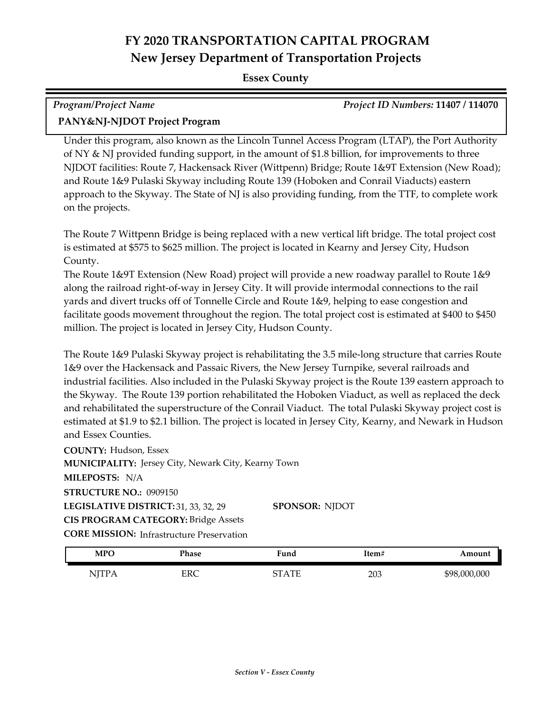## **Essex County**

| Program/Project Name          | <b>Project ID Numbers: 11407 / 114070</b> |
|-------------------------------|-------------------------------------------|
| PANY&NJ-NJDOT Project Program |                                           |

Under this program, also known as the Lincoln Tunnel Access Program (LTAP), the Port Authority of NY & NJ provided funding support, in the amount of \$1.8 billion, for improvements to three NJDOT facilities: Route 7, Hackensack River (Wittpenn) Bridge; Route 1&9T Extension (New Road); and Route 1&9 Pulaski Skyway including Route 139 (Hoboken and Conrail Viaducts) eastern approach to the Skyway. The State of NJ is also providing funding, from the TTF, to complete work on the projects.

The Route 7 Wittpenn Bridge is being replaced with a new vertical lift bridge. The total project cost is estimated at \$575 to \$625 million. The project is located in Kearny and Jersey City, Hudson County.

The Route 1&9T Extension (New Road) project will provide a new roadway parallel to Route 1&9 along the railroad right-of-way in Jersey City. It will provide intermodal connections to the rail yards and divert trucks off of Tonnelle Circle and Route 1&9, helping to ease congestion and facilitate goods movement throughout the region. The total project cost is estimated at \$400 to \$450 million. The project is located in Jersey City, Hudson County.

The Route 1&9 Pulaski Skyway project is rehabilitating the 3.5 mile-long structure that carries Route 1&9 over the Hackensack and Passaic Rivers, the New Jersey Turnpike, several railroads and industrial facilities. Also included in the Pulaski Skyway project is the Route 139 eastern approach to the Skyway. The Route 139 portion rehabilitated the Hoboken Viaduct, as well as replaced the deck and rehabilitated the superstructure of the Conrail Viaduct. The total Pulaski Skyway project cost is estimated at \$1.9 to \$2.1 billion. The project is located in Jersey City, Kearny, and Newark in Hudson and Essex Counties.

**COUNTY:** Hudson, Essex LEGISLATIVE DISTRICT: 31, 33, 32, 29 **MILEPOSTS:** N/A **STRUCTURE NO.:** 0909150 **MUNICIPALITY: Jersey City, Newark City, Kearny Town CORE MISSION:** Infrastructure Preservation **SPONSOR:** NJDOT **CIS PROGRAM CATEGORY:** Bridge Assets

| <b>MPC</b>           | Phase      | <b>Fund</b>         | Item# | Amount       |
|----------------------|------------|---------------------|-------|--------------|
| NITP.<br><b>TTTT</b> | <b>ERC</b> | $\Lambda$ TT<br>חרי | 203   | \$98,000,000 |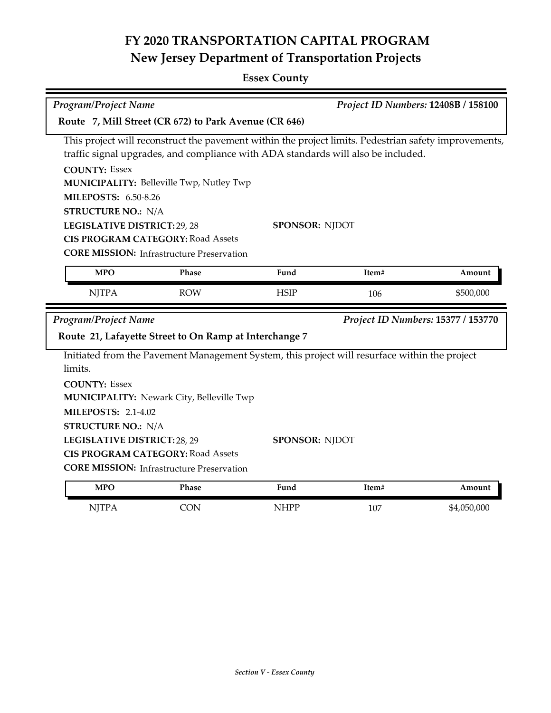## **Essex County**

| Program/Project Name                                                                                  |                                                                                               |                       |       | Project ID Numbers: 12408B / 158100 |  |  |
|-------------------------------------------------------------------------------------------------------|-----------------------------------------------------------------------------------------------|-----------------------|-------|-------------------------------------|--|--|
| Route 7, Mill Street (CR 672) to Park Avenue (CR 646)                                                 |                                                                                               |                       |       |                                     |  |  |
| This project will reconstruct the pavement within the project limits. Pedestrian safety improvements, |                                                                                               |                       |       |                                     |  |  |
|                                                                                                       | traffic signal upgrades, and compliance with ADA standards will also be included.             |                       |       |                                     |  |  |
|                                                                                                       | <b>COUNTY: Essex</b>                                                                          |                       |       |                                     |  |  |
|                                                                                                       | MUNICIPALITY: Belleville Twp, Nutley Twp                                                      |                       |       |                                     |  |  |
| <b>MILEPOSTS: 6.50-8.26</b><br><b>STRUCTURE NO.: N/A</b>                                              |                                                                                               |                       |       |                                     |  |  |
| LEGISLATIVE DISTRICT: 29, 28                                                                          |                                                                                               | <b>SPONSOR: NJDOT</b> |       |                                     |  |  |
|                                                                                                       | <b>CIS PROGRAM CATEGORY: Road Assets</b>                                                      |                       |       |                                     |  |  |
|                                                                                                       | <b>CORE MISSION: Infrastructure Preservation</b>                                              |                       |       |                                     |  |  |
| <b>MPO</b>                                                                                            | Phase                                                                                         | Fund                  | Item# | Amount                              |  |  |
|                                                                                                       |                                                                                               |                       |       |                                     |  |  |
| <b>NJTPA</b>                                                                                          | <b>ROW</b>                                                                                    | <b>HSIP</b>           | 106   | \$500,000                           |  |  |
|                                                                                                       |                                                                                               |                       |       |                                     |  |  |
| Program/Project Name                                                                                  |                                                                                               |                       |       | Project ID Numbers: 15377 / 153770  |  |  |
|                                                                                                       | Route 21, Lafayette Street to On Ramp at Interchange 7                                        |                       |       |                                     |  |  |
|                                                                                                       | Initiated from the Pavement Management System, this project will resurface within the project |                       |       |                                     |  |  |
| limits.                                                                                               |                                                                                               |                       |       |                                     |  |  |
| <b>COUNTY: Essex</b>                                                                                  |                                                                                               |                       |       |                                     |  |  |
|                                                                                                       | MUNICIPALITY: Newark City, Belleville Twp                                                     |                       |       |                                     |  |  |
| <b>MILEPOSTS: 2.1-4.02</b>                                                                            |                                                                                               |                       |       |                                     |  |  |
| <b>STRUCTURE NO.: N/A</b>                                                                             |                                                                                               |                       |       |                                     |  |  |
| LEGISLATIVE DISTRICT: 28, 29                                                                          |                                                                                               | SPONSOR: NJDOT        |       |                                     |  |  |
|                                                                                                       | <b>CIS PROGRAM CATEGORY: Road Assets</b>                                                      |                       |       |                                     |  |  |
|                                                                                                       | <b>CORE MISSION: Infrastructure Preservation</b>                                              |                       |       |                                     |  |  |
| <b>MPO</b>                                                                                            | Phase                                                                                         | Fund                  | Item# | Amount                              |  |  |